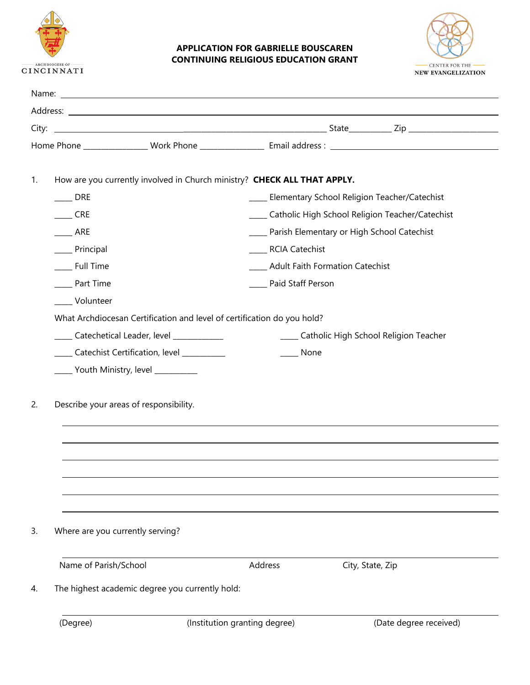

## **APPLICATION FOR GABRIELLE BOUSCAREN CONTINUING RELIGIOUS EDUCATION GRANT**



|                                           | How are you currently involved in Church ministry? CHECK ALL THAT APPLY. |                                                      |                                             |  |  |  |  |
|-------------------------------------------|--------------------------------------------------------------------------|------------------------------------------------------|---------------------------------------------|--|--|--|--|
| <b>DRE</b>                                |                                                                          | ____ Elementary School Religion Teacher/Catechist    |                                             |  |  |  |  |
| <b>CRE</b>                                |                                                                          | ____ Catholic High School Religion Teacher/Catechist |                                             |  |  |  |  |
| ARE                                       |                                                                          | ____ Parish Elementary or High School Catechist      |                                             |  |  |  |  |
| __ Principal                              |                                                                          | _____ RCIA Catechist                                 |                                             |  |  |  |  |
| __ Full Time                              |                                                                          | <b>Adult Faith Formation Catechist</b>               |                                             |  |  |  |  |
| Part Time                                 |                                                                          |                                                      | Paid Staff Person                           |  |  |  |  |
| Volunteer                                 |                                                                          |                                                      |                                             |  |  |  |  |
|                                           | What Archdiocesan Certification and level of certification do you hold?  |                                                      |                                             |  |  |  |  |
| Catechetical Leader, level ____________   |                                                                          |                                                      | _____ Catholic High School Religion Teacher |  |  |  |  |
| Catechist Certification, level __________ |                                                                          |                                                      | <b>None</b>                                 |  |  |  |  |
| ______ Youth Ministry, level ____________ |                                                                          |                                                      |                                             |  |  |  |  |
| Describe your areas of responsibility.    |                                                                          |                                                      |                                             |  |  |  |  |
| Where are you currently serving?          |                                                                          |                                                      |                                             |  |  |  |  |
| Name of Parish/School                     |                                                                          | Address                                              | City, State, Zip                            |  |  |  |  |
|                                           | The highest academic degree you currently hold:                          |                                                      |                                             |  |  |  |  |
| (Degree)                                  |                                                                          | (Institution granting degree)                        | (Date degree received)                      |  |  |  |  |